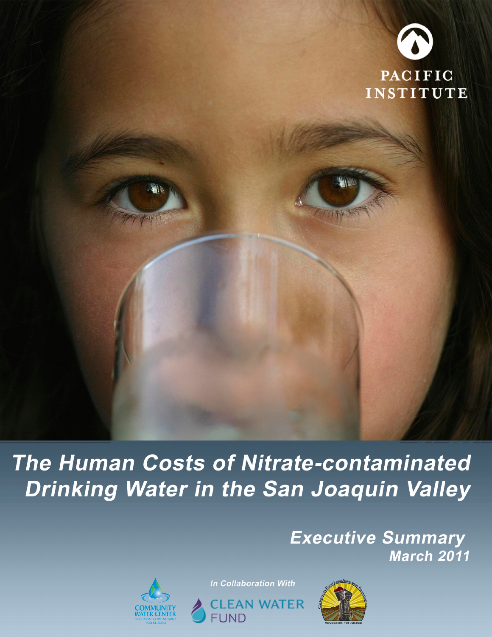

# The Human Costs of Nitrate-contaminated Drinking Water in the San Joaquin Valley

**Executive Summary March 2011** 



In Collaboration With



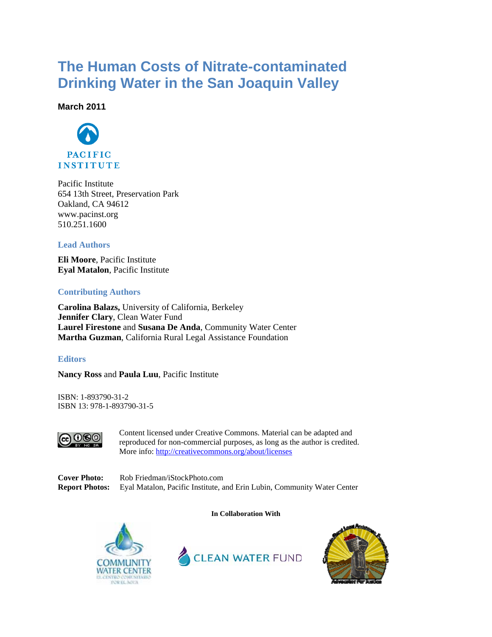### **The Human Costs of Nitrate-contaminated Drinking Water in the San Joaquin Valley**

**March 2011**



Pacific Institute 654 13th Street, Preservation Park Oakland, CA 94612 www.pacinst.org 510.251.1600

#### **Lead Authors**

**Eli Moore**, Pacific Institute **Eyal Matalon**, Pacific Institute

#### **Contributing Authors**

**Carolina Balazs,** University of California, Berkeley **Jennifer Clary**, Clean Water Fund **Laurel Firestone** and **Susana De Anda**, Community Water Center **Martha Guzman**, California Rural Legal Assistance Foundation

#### **Editors**

**Nancy Ross** and **Paula Luu**, Pacific Institute

ISBN: 1-893790-31-2 ISBN 13: 978-1-893790-31-5



Content licensed under Creative Commons. Material can be adapted and reproduced for non-commercial purposes, as long as the author is credited. More info: http://creativecommons.org/about/licenses

**Cover Photo:** Rob Friedman/iStockPhoto.com **Report Photos:** Eyal Matalon, Pacific Institute, and Erin Lubin, Community Water Center





**In Collaboration With** 

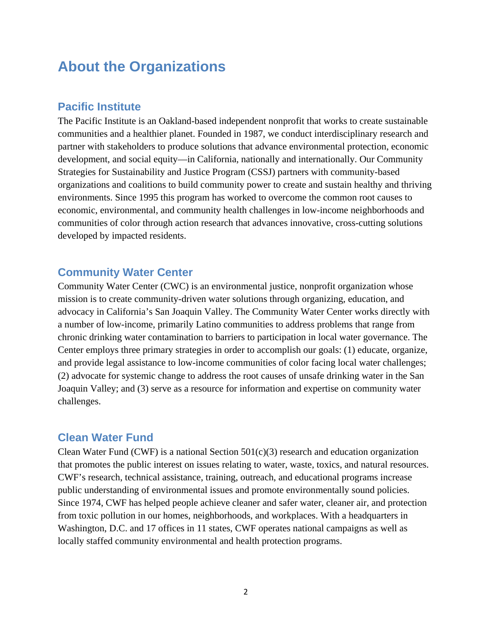### **About the Organizations**

### **Pacific Institute**

The Pacific Institute is an Oakland-based independent nonprofit that works to create sustainable communities and a healthier planet. Founded in 1987, we conduct interdisciplinary research and partner with stakeholders to produce solutions that advance environmental protection, economic development, and social equity—in California, nationally and internationally. Our Community Strategies for Sustainability and Justice Program (CSSJ) partners with community-based organizations and coalitions to build community power to create and sustain healthy and thriving environments. Since 1995 this program has worked to overcome the common root causes to economic, environmental, and community health challenges in low-income neighborhoods and communities of color through action research that advances innovative, cross-cutting solutions developed by impacted residents.

### **Community Water Center**

Community Water Center (CWC) is an environmental justice, nonprofit organization whose mission is to create community-driven water solutions through organizing, education, and advocacy in California's San Joaquin Valley. The Community Water Center works directly with a number of low-income, primarily Latino communities to address problems that range from chronic drinking water contamination to barriers to participation in local water governance. The Center employs three primary strategies in order to accomplish our goals: (1) educate, organize, and provide legal assistance to low-income communities of color facing local water challenges; (2) advocate for systemic change to address the root causes of unsafe drinking water in the San Joaquin Valley; and (3) serve as a resource for information and expertise on community water challenges.

#### **Clean Water Fund**

Clean Water Fund (CWF) is a national Section 501(c)(3) research and education organization that promotes the public interest on issues relating to water, waste, toxics, and natural resources. CWF's research, technical assistance, training, outreach, and educational programs increase public understanding of environmental issues and promote environmentally sound policies. Since 1974, CWF has helped people achieve cleaner and safer water, cleaner air, and protection from toxic pollution in our homes, neighborhoods, and workplaces. With a headquarters in Washington, D.C. and 17 offices in 11 states, CWF operates national campaigns as well as locally staffed community environmental and health protection programs.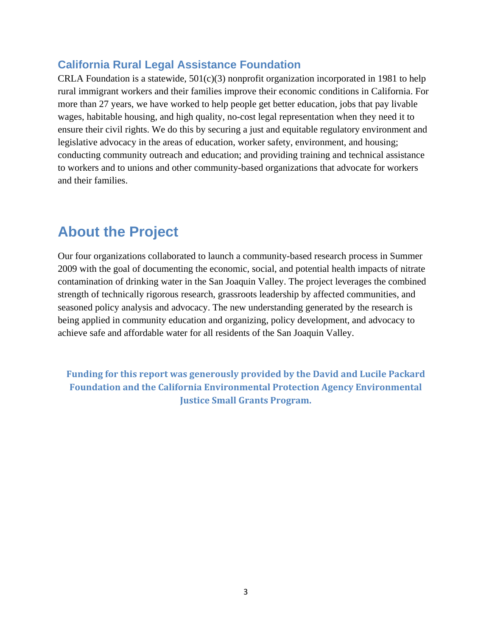### **California Rural Legal Assistance Foundation**

CRLA Foundation is a statewide,  $501(c)(3)$  nonprofit organization incorporated in 1981 to help rural immigrant workers and their families improve their economic conditions in California. For more than 27 years, we have worked to help people get better education, jobs that pay livable wages, habitable housing, and high quality, no-cost legal representation when they need it to ensure their civil rights. We do this by securing a just and equitable regulatory environment and legislative advocacy in the areas of education, worker safety, environment, and housing; conducting community outreach and education; and providing training and technical assistance to workers and to unions and other community-based organizations that advocate for workers and their families.

### **About the Project**

Our four organizations collaborated to launch a community-based research process in Summer 2009 with the goal of documenting the economic, social, and potential health impacts of nitrate contamination of drinking water in the San Joaquin Valley. The project leverages the combined strength of technically rigorous research, grassroots leadership by affected communities, and seasoned policy analysis and advocacy. The new understanding generated by the research is being applied in community education and organizing, policy development, and advocacy to achieve safe and affordable water for all residents of the San Joaquin Valley.

**Funding for this report was generously provided by the David and Lucile Packard Foundation and the California Environmental Protection Agency Environmental Justice Small Grants Program.**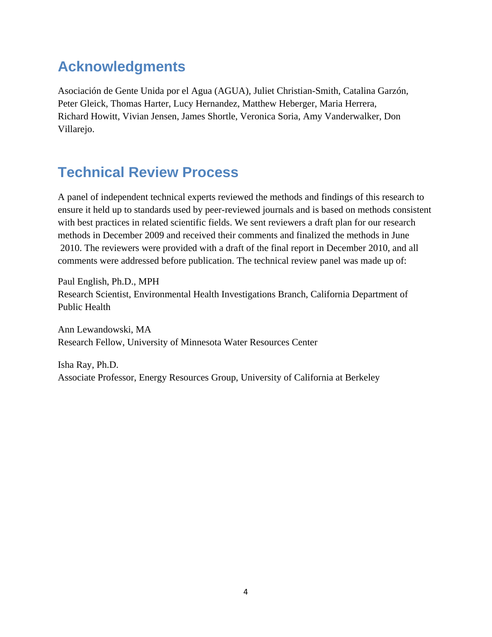# **Acknowledgments**

Asociación de Gente Unida por el Agua (AGUA), Juliet Christian-Smith, Catalina Garzón, Peter Gleick, Thomas Harter, Lucy Hernandez, Matthew Heberger, Maria Herrera, Richard Howitt, Vivian Jensen, James Shortle, Veronica Soria, Amy Vanderwalker, Don Villarejo.

# **Technical Review Process**

A panel of independent technical experts reviewed the methods and findings of this research to ensure it held up to standards used by peer-reviewed journals and is based on methods consistent with best practices in related scientific fields. We sent reviewers a draft plan for our research methods in December 2009 and received their comments and finalized the methods in June 2010. The reviewers were provided with a draft of the final report in December 2010, and all comments were addressed before publication. The technical review panel was made up of:

Paul English, Ph.D., MPH Research Scientist, Environmental Health Investigations Branch, California Department of Public Health

Ann Lewandowski, MA Research Fellow, University of Minnesota Water Resources Center

Isha Ray, Ph.D. Associate Professor, Energy Resources Group, University of California at Berkeley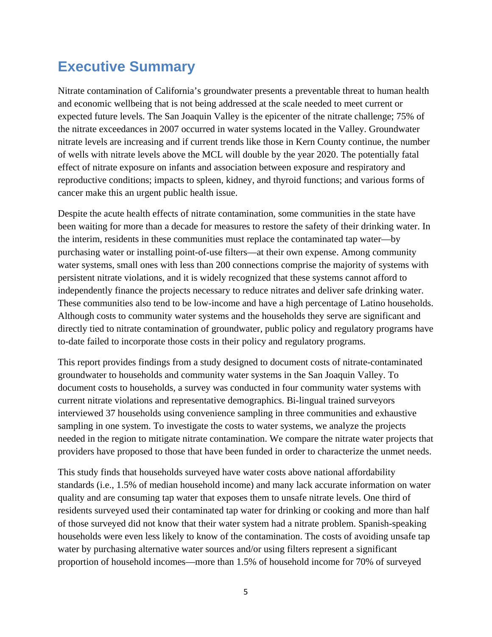## **Executive Summary**

Nitrate contamination of California's groundwater presents a preventable threat to human health and economic wellbeing that is not being addressed at the scale needed to meet current or expected future levels. The San Joaquin Valley is the epicenter of the nitrate challenge; 75% of the nitrate exceedances in 2007 occurred in water systems located in the Valley. Groundwater nitrate levels are increasing and if current trends like those in Kern County continue, the number of wells with nitrate levels above the MCL will double by the year 2020. The potentially fatal effect of nitrate exposure on infants and association between exposure and respiratory and reproductive conditions; impacts to spleen, kidney, and thyroid functions; and various forms of cancer make this an urgent public health issue.

Despite the acute health effects of nitrate contamination, some communities in the state have been waiting for more than a decade for measures to restore the safety of their drinking water. In the interim, residents in these communities must replace the contaminated tap water—by purchasing water or installing point-of-use filters—at their own expense. Among community water systems, small ones with less than 200 connections comprise the majority of systems with persistent nitrate violations, and it is widely recognized that these systems cannot afford to independently finance the projects necessary to reduce nitrates and deliver safe drinking water. These communities also tend to be low-income and have a high percentage of Latino households. Although costs to community water systems and the households they serve are significant and directly tied to nitrate contamination of groundwater, public policy and regulatory programs have to-date failed to incorporate those costs in their policy and regulatory programs.

This report provides findings from a study designed to document costs of nitrate-contaminated groundwater to households and community water systems in the San Joaquin Valley. To document costs to households, a survey was conducted in four community water systems with current nitrate violations and representative demographics. Bi-lingual trained surveyors interviewed 37 households using convenience sampling in three communities and exhaustive sampling in one system. To investigate the costs to water systems, we analyze the projects needed in the region to mitigate nitrate contamination. We compare the nitrate water projects that providers have proposed to those that have been funded in order to characterize the unmet needs.

This study finds that households surveyed have water costs above national affordability standards (i.e., 1.5% of median household income) and many lack accurate information on water quality and are consuming tap water that exposes them to unsafe nitrate levels. One third of residents surveyed used their contaminated tap water for drinking or cooking and more than half of those surveyed did not know that their water system had a nitrate problem. Spanish-speaking households were even less likely to know of the contamination. The costs of avoiding unsafe tap water by purchasing alternative water sources and/or using filters represent a significant proportion of household incomes—more than 1.5% of household income for 70% of surveyed